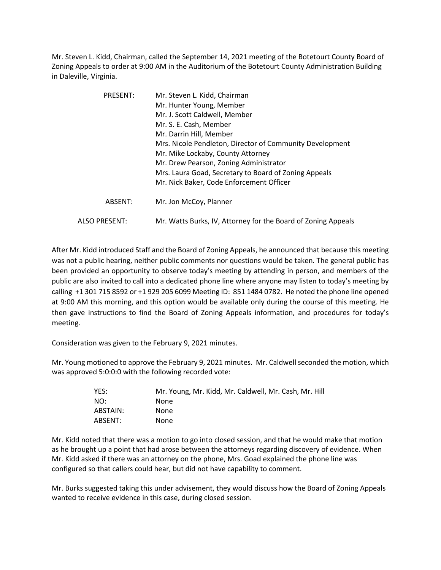Mr. Steven L. Kidd, Chairman, called the September 14, 2021 meeting of the Botetourt County Board of Zoning Appeals to order at 9:00 AM in the Auditorium of the Botetourt County Administration Building in Daleville, Virginia.

| PRESENT:             | Mr. Steven L. Kidd, Chairman                                  |
|----------------------|---------------------------------------------------------------|
|                      | Mr. Hunter Young, Member                                      |
|                      | Mr. J. Scott Caldwell, Member                                 |
|                      | Mr. S. E. Cash, Member                                        |
|                      | Mr. Darrin Hill, Member                                       |
|                      | Mrs. Nicole Pendleton, Director of Community Development      |
|                      | Mr. Mike Lockaby, County Attorney                             |
|                      | Mr. Drew Pearson, Zoning Administrator                        |
|                      | Mrs. Laura Goad, Secretary to Board of Zoning Appeals         |
|                      | Mr. Nick Baker, Code Enforcement Officer                      |
| ABSENT:              | Mr. Jon McCoy, Planner                                        |
| <b>ALSO PRESENT:</b> | Mr. Watts Burks, IV, Attorney for the Board of Zoning Appeals |

After Mr. Kidd introduced Staff and the Board of Zoning Appeals, he announced that because this meeting was not a public hearing, neither public comments nor questions would be taken. The general public has been provided an opportunity to observe today's meeting by attending in person, and members of the public are also invited to call into a dedicated phone line where anyone may listen to today's meeting by calling +1 301 715 8592 or +1 929 205 6099 Meeting ID: 851 1484 0782. He noted the phone line opened at 9:00 AM this morning, and this option would be available only during the course of this meeting. He then gave instructions to find the Board of Zoning Appeals information, and procedures for today's meeting.

Consideration was given to the February 9, 2021 minutes.

Mr. Young motioned to approve the February 9, 2021 minutes. Mr. Caldwell seconded the motion, which was approved 5:0:0:0 with the following recorded vote:

| YFS:     | Mr. Young, Mr. Kidd, Mr. Caldwell, Mr. Cash, Mr. Hill |
|----------|-------------------------------------------------------|
| NO:      | None                                                  |
| ABSTAIN: | None                                                  |
| ABSENT:  | None                                                  |

Mr. Kidd noted that there was a motion to go into closed session, and that he would make that motion as he brought up a point that had arose between the attorneys regarding discovery of evidence. When Mr. Kidd asked if there was an attorney on the phone, Mrs. Goad explained the phone line was configured so that callers could hear, but did not have capability to comment.

Mr. Burks suggested taking this under advisement, they would discuss how the Board of Zoning Appeals wanted to receive evidence in this case, during closed session.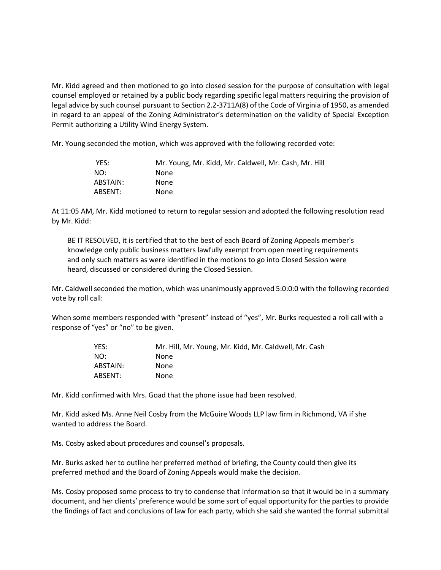Mr. Kidd agreed and then motioned to go into closed session for the purpose of consultation with legal counsel employed or retained by a public body regarding specific legal matters requiring the provision of legal advice by such counsel pursuant to Section 2.2-3711A(8) of the Code of Virginia of 1950, as amended in regard to an appeal of the Zoning Administrator's determination on the validity of Special Exception Permit authorizing a Utility Wind Energy System.

Mr. Young seconded the motion, which was approved with the following recorded vote:

| YES:     | Mr. Young, Mr. Kidd, Mr. Caldwell, Mr. Cash, Mr. Hill |
|----------|-------------------------------------------------------|
| NO:      | None                                                  |
| ABSTAIN: | None                                                  |
| ABSENT:  | None                                                  |

At 11:05 AM, Mr. Kidd motioned to return to regular session and adopted the following resolution read by Mr. Kidd:

BE IT RESOLVED, it is certified that to the best of each Board of Zoning Appeals member's knowledge only public business matters lawfully exempt from open meeting requirements and only such matters as were identified in the motions to go into Closed Session were heard, discussed or considered during the Closed Session.

Mr. Caldwell seconded the motion, which was unanimously approved 5:0:0:0 with the following recorded vote by roll call:

When some members responded with "present" instead of "yes", Mr. Burks requested a roll call with a response of "yes" or "no" to be given.

| Mr. Hill, Mr. Young, Mr. Kidd, Mr. Caldwell, Mr. Cash |
|-------------------------------------------------------|
| None                                                  |
| None                                                  |
| None                                                  |
|                                                       |

Mr. Kidd confirmed with Mrs. Goad that the phone issue had been resolved.

Mr. Kidd asked Ms. Anne Neil Cosby from the McGuire Woods LLP law firm in Richmond, VA if she wanted to address the Board.

Ms. Cosby asked about procedures and counsel's proposals.

Mr. Burks asked her to outline her preferred method of briefing, the County could then give its preferred method and the Board of Zoning Appeals would make the decision.

Ms. Cosby proposed some process to try to condense that information so that it would be in a summary document, and her clients' preference would be some sort of equal opportunity for the parties to provide the findings of fact and conclusions of law for each party, which she said she wanted the formal submittal